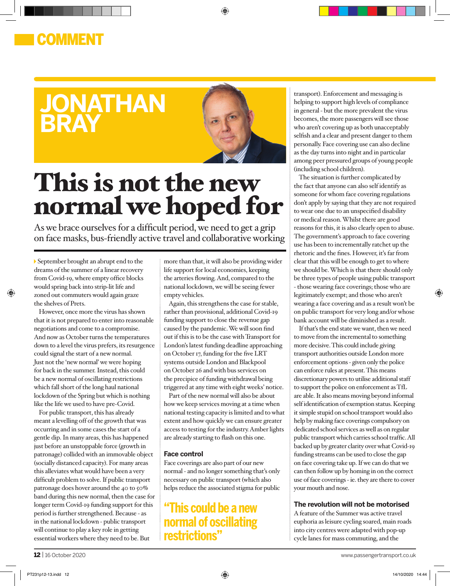## COMMENT

# **jonathan bray**



◈

# This is not the new normal we hoped for

As we brace ourselves for a difficult period, we need to get a grip on face masks, bus-friendly active travel and collaborative working

September brought an abrupt end to the dreams of the summer of a linear recovery from Covid-19, where empty office blocks would spring back into strip-lit life and zoned out commuters would again graze the shelves of Prets.

However, once more the virus has shown that it is not prepared to enter into reasonable negotiations and come to a compromise. And now as October turns the temperatures down to a level the virus prefers, its resurgence could signal the start of a new normal. Just not the 'new normal' we were hoping for back in the summer. Instead, this could be a new normal of oscillating restrictions which fall short of the long haul national lockdown of the Spring but which is nothing like the life we used to have pre-Covid.

For public transport, this has already meant a levelling off of the growth that was occurring and in some cases the start of a gentle dip. In many areas, this has happened just before an unstoppable force (growth in patronage) collided with an immovable object (socially distanced capacity). For many areas this alleviates what would have been a very difficult problem to solve. If public transport patronage does hover around the 40 to 50% band during this new normal, then the case for longer term Covid-19 funding support for this period is further strengthened. Because - as in the national lockdown - public transport will continue to play a key role in getting essential workers where they need to be. But

more than that, it will also be providing wider life support for local economies, keeping the arteries flowing. And, compared to the national lockdown, we will be seeing fewer empty vehicles.

Again, this strengthens the case for stable, rather than provisional, additional Covid-19 funding support to close the revenue gap caused by the pandemic. We will soon find out if this is to be the case with Transport for London's latest funding deadline approaching on October 17, funding for the five LRT systems outside London and Blackpool on October 26 and with bus services on the precipice of funding withdrawal being triggered at any time with eight weeks' notice.

Part of the new normal will also be about how we keep services moving at a time when national testing capacity is limited and to what extent and how quickly we can ensure greater access to testing for the industry. Amber lights are already starting to flash on this one.

### **Face control**

Face coverings are also part of our new normal - and no longer something that's only necessary on public transport (which also helps reduce the associated stigma for public

## **"This could be a new normal of oscillating restrictions"**

transport). Enforcement and messaging is helping to support high levels of compliance in general - but the more prevalent the virus becomes, the more passengers will see those who aren't covering up as both unacceptably selfish and a clear and present danger to them personally. Face covering use can also decline as the day turns into night and in particular among peer pressured groups of young people (including school children).

The situation is further complicated by the fact that anyone can also self identify as someone for whom face covering regulations don't apply by saying that they are not required to wear one due to an unspecified disability or medical reason. Whilst there are good reasons for this, it is also clearly open to abuse. The government's approach to face covering use has been to incrementally ratchet up the rhetoric and the fines. However, it's far from clear that this will be enough to get to where we should be. Which is that there should only be three types of people using public transport - those wearing face coverings; those who are legitimately exempt; and those who aren't wearing a face covering and as a result won't be on public transport for very long and/or whose bank account will be diminished as a result.

If that's the end state we want, then we need to move from the incremental to something more decisive. This could include giving transport authorities outside London more enforcement options - given only the police can enforce rules at present. This means discretionary powers to utilise additional staff to support the police on enforcement as TfL are able. It also means moving beyond informal self identification of exemption status. Keeping it simple stupid on school transport would also help by making face coverings compulsory on dedicated school services as well as on regular public transport which carries school traffic. All backed up by greater clarity over what Covid-19 funding streams can be used to close the gap on face covering take up. If we can do that we can then follow up by homing in on the correct use of face coverings - ie. they are there to cover your mouth and nose.

#### **The revolution will not be motorised**

A feature of the Summer was active travel euphoria as leisure cycling soared, main roads into city centres were adapted with pop-up cycle lanes for mass commuting, and the

⊕